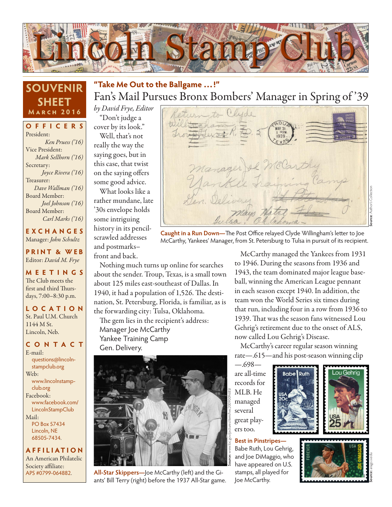

### **SOUVENIR SHEET March 2016**

**OFFICERS** President: *Ken Pruess ('16)* Vice President: *Mark Sellhorn ('16)* Secretary: *Joyce Rivera ('16)* Treasurer: *Dave Wallman ('16)* Board Member: *Joel Johnson ('16)* Board Member: *Carl Marks ('16)*

**EXCHANGES** Manager: *John Schultz*

**PRINT & WEB** Editor: *David M. Frye*

**MEETINGS** The Club meets the first and third Thursdays, 7:00–8:30 p.m.

**LO C ATI O N** St. Paul U.M. Church 1144 M St. Lincoln, Neb.

#### **CONTACT** E-mail:

questions@lincolnstampclub.org Web: www.lincolnstampclub.org Facebook: www.facebook.com/ **LincolnStampClub** Mail: PO Box 57434

Lincoln, NE 68505-7434.

**AFFI LIATI O N** An American Philatelic Society affiliate: APS #0799-064882.

# Fan's Mail Pursues Bronx Bombers' Manager in Spring of '39 **"Take Me Out to the Ballgame …!"**

*by David Frye, Editor*

"Don't judge a cover by its look." Well, that's not really the way the saying goes, but in this case, that twist on the saying offers some good advice.

What looks like a rather mundane, late '30s envelope holds some intriguing history in its pencilscrawled addresses and postmarks– front and back.

Nothing much turns up online for searches about the sender. Troup, Texas, is a small town about 125 miles east-southeast of Dallas. In 1940, it had a population of 1,526. The destination, St. Petersburg, Florida, is familiar, as is the forwarding city: Tulsa, Oklahoma. The gem lies in the recipient's address:

Manager Joe McCarthy Yankee Training Camp Gen. Delivery.



**All-Star Skippers—**Joe McCarthy (left) and the Giants' Bill Terry (right) before the 1937 All-Star game.



**Caught in a Run Down—**The Post Office relayed Clyde Willingham's letter to Joe McCarthy, Yankees' Manager, from St. Petersburg to Tulsa in pursuit of its recipient.

McCarthy managed the Yankees from 1931 to 1946. During the seasons from 1936 and 1943, the team dominated major league baseball, winning the American League pennant in each season except 1940. In addition, the team won the World Series six times during that run, including four in a row from 1936 to 1939. That was the season fans witnessed Lou Gehrig's retirement due to the onset of ALS, now called Lou Gehrig's Disease.

McCarthy's career regular season winning rate—.615—and his post-season winning clip

—.698 are all-time records for MLB. He managed several great players too.

**Best in Pinstripes—**  Babe Ruth, Lou Gehrig, and Joe DiMaggio, who have appeared on U.S. stamps, all played for Joe McCarthy.

**Babe Ruth** 



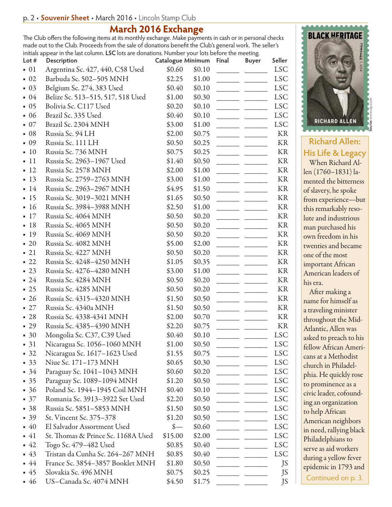## **March 2016 Exchange**

The Club offers the following items at its monthly exchange. Make payments in cash or in personal checks made out to the Club. Proceeds from the sale of donations benefit the Club's general work. The seller's initials appear in the last column. **LSC** lots are donations. Number your lots before the meeting.

| Lot #             | Description                        | Catalogue Minimum |        | Final | <b>Buyer</b> | Seller     |
|-------------------|------------------------------------|-------------------|--------|-------|--------------|------------|
| $\blacksquare$ 01 | Argentina Sc. 427, 440, C58 Used   | \$0.60            | \$0.10 |       |              | <b>LSC</b> |
| $\blacksquare$ 02 | Barbuda Sc. 502-505 MNH            | \$2.25            | \$1.00 |       |              | <b>LSC</b> |
| $\blacksquare$ 03 | Belgium Sc. 274, 383 Used          | \$0.40            | \$0.10 |       |              | <b>LSC</b> |
| $-04$             | Belize Sc. 513-515, 517, 518 Used  | \$1.00            | \$0.30 |       |              | <b>LSC</b> |
| $-05$             | Bolivia Sc. C117 Used              | \$0.20            | \$0.10 |       |              | <b>LSC</b> |
| $-06$             | Brazil Sc. 335 Used                | \$0.40            | \$0.10 |       |              | <b>LSC</b> |
| $\blacksquare$ 07 | Brazil Sc. 2304 MNH                | \$3.00            | \$1.00 |       |              | <b>LSC</b> |
| $-08$             | Russia Sc. 94 LH                   | \$2.00            | \$0.75 |       |              | KR         |
| 09                | Russia Sc. 111 LH                  | \$0.50            | \$0.25 |       |              | <b>KR</b>  |
| 10                | Russia Sc. 736 MNH                 | \$0.75            | \$0.25 |       |              | KR         |
| <sup>11</sup>     | Russia Sc. 2963-1967 Used          | \$1.40            | \$0.50 |       |              | KR         |
| $-12$             | Russia Sc. 2578 MNH                | \$2.00            | \$1.00 |       |              | KR         |
| $-13$             | Russia Sc. 2759-2763 MNH           | \$3.00            | \$1.00 |       |              | KR         |
| 14                | Russia Sc. 2963-2967 MNH           | \$4.95            | \$1.50 |       |              | <b>KR</b>  |
| $-15$             | Russia Sc. 3019-3021 MNH           | \$1.65            | \$0.50 |       |              | KR         |
| <sup>16</sup>     | Russia Sc. 3984-3988 MNH           | \$2.50            | \$1.00 |       |              | KR         |
| $-17$             | Russia Sc. 4064 MNH                | \$0.50            | \$0.20 |       |              | KR         |
| $-18$             | Russia Sc. 4065 MNH                | \$0.50            | \$0.20 |       |              | KR         |
| 19                | Russia Sc. 4069 MNH                | \$0.50            | \$0.20 |       |              | KR         |
| $\blacksquare$ 20 | Russia Sc. 4082 MNH                | \$5.00            | \$2.00 |       |              | KR         |
| $-21$             | Russia Sc. 4227 MNH                | \$0.50            | \$0.20 |       |              | KR         |
| $-22$             | Russia Sc. 4248-4250 MNH           | \$1.05            | \$0.35 |       |              | KR         |
| $-23$             | Russia Sc. 4276-4280 MNH           | \$3.00            | \$1.00 |       |              | KR         |
| $-24$             | Russia Sc. 4284 MNH                | \$0.50            | \$0.20 |       |              | KR         |
| $-25$             | Russia Sc. 4285 MNH                | \$0.50            | \$0.20 |       |              | KR         |
| $-26$             | Russia Sc. 4315-4320 MNH           | \$1.50            | \$0.50 |       |              | KR         |
| $-27$             | Russia Sc. 4340a MNH               | \$1.50            | \$0.50 |       |              | KR         |
| $-28$             | Russia Sc. 4338-4341 MNH           | \$2.00            | \$0.70 |       |              | KR         |
| $-29$             | Russia Sc. 4385-4390 MNH           | \$2.20            | \$0.75 |       |              | KR         |
| $-30$             | Mongolia Sc. C37, C39 Used         | \$0.40            | \$0.10 |       |              | <b>LSC</b> |
| 31                | Nicaragua Sc. 1056-1060 MNH        | \$1.00            | \$0.50 |       |              | <b>LSC</b> |
| $-32$             | Nicaragua Sc. 1617-1623 Used       | \$1.55            | \$0.75 |       |              | <b>LSC</b> |
| $-33$             | Niue Sc. 171–173 MNH               | \$0.65            | \$0.30 |       |              | <b>LSC</b> |
| $-34$             | Paraguay Sc. 1041-1043 MNH         | \$0.60            | \$0.20 |       |              | <b>LSC</b> |
| $-35$             | Paraguay Sc. 1089-1094 MNH         | \$1.20            | \$0.50 |       |              | <b>LSC</b> |
| $-36$             | Poland Sc. 1944-1945 Coil MNH      | \$0.40            | \$0.10 |       |              | <b>LSC</b> |
| $\blacksquare$ 37 | Romania Sc. 3913-3922 Set Used     | \$2.20            | \$0.50 |       |              | <b>LSC</b> |
| $-38$             | Russia Sc. 5851–5853 MNH           | \$1.50            | \$0.50 |       |              | <b>LSC</b> |
| $-39$             | St. Vincent Sc. 375-378            | \$1.20            | \$0.50 |       |              | <b>LSC</b> |
| $-40$             | El Salvador Assortment Used        |                   | \$0.60 |       |              | <b>LSC</b> |
| $-41$             | St. Thomas & Prince Sc. 1168A Used | \$15.00           | \$2.00 |       |              | <b>LSC</b> |
| $-42$             | Togo Sc. 479–482 Used              | \$0.85            | \$0.40 |       |              | <b>LSC</b> |
| $-43$             | Tristan da Cunha Sc. 264–267 MNH   | \$0.85            | \$0.40 |       |              | <b>LSC</b> |
| $-44$             | France Sc. 3854–3857 Booklet MNH   | \$1.80            | \$0.50 |       |              | JS         |
| $-45$             | Slovakia Sc. 496 MNH               | \$0.75            | \$0.25 |       |              | JS         |
| $-46$             | US-Canada Sc. 4074 MNH             | \$4.50            | \$1.75 |       |              | JS         |



**Richard Allen: His Life & Legacy**

When Richard Allen (1760–1831) lamented the bitterness of slavery, he spoke from experience—but this remarkably resolute and industrious man purchased his own freedom in his twenties and became one of the most important African American leaders of his era.

After making a name for himself as a traveling minister throughout the Mid-Atlantic, Allen was asked to preach to his fellow African Americans at a Methodist church in Philadelphia. He quickly rose to prominence as a civic leader, cofounding an organization to help African American neighbors in need, rallying black Philadelphians to serve as aid workers during a yellow fever epidemic in 1793 and Continued on p. 3.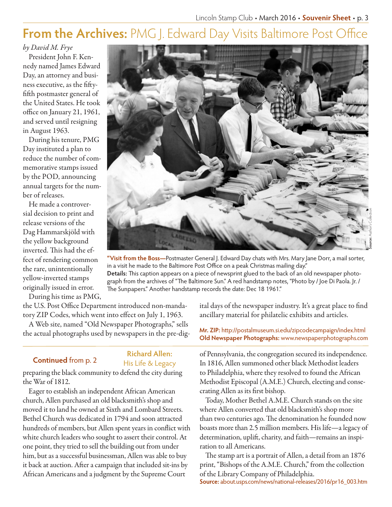# **From the Archives: PMG J. Edward Day Visits Baltimore Post Office**

*by David M. Frye*

President John F. Kennedy named James Edward Day, an attorney and business executive, as the fiftyfifth postmaster general of the United States. He took office on January 21, 1961, and served until resigning in August 1963.

During his tenure, PMG Day instituted a plan to reduce the number of commemorative stamps issued by the POD, announcing annual targets for the number of releases.

He made a controversial decision to print and release versions of the Dag Hammarskjöld with the yellow background inverted. This had the effect of rendering common the rare, unintentionally yellow-inverted stamps originally issued in error.

**Source:** Author's Collection

**"Visit from the Boss—**Postmaster General J. Edward Day chats with Mrs. Mary Jane Dorr, a mail sorter, in a visit he made to the Baltimore Post Office on a peak Christmas mailing day." **Details:** This caption appears on a piece of newsprint glued to the back of an old newspaper photograph from the archives of "The Baltimore Sun." A red handstamp notes, "Photo by / Joe Di Paola. Jr. / The Sunpapers." Another handstamp records the date: Dec 18 1961."

During his time as PMG,

the U.S. Post Office Department introduced non-mandatory ZIP Codes, which went into effect on July 1, 1963.

A Web site, named "Old Newspaper Photographs," sells

#### **Richard Allen: Continued** from p. 2 **His Life & Legacy**

preparing the black community to defend the city during the War of 1812.

Eager to establish an independent African American church, Allen purchased an old blacksmith's shop and moved it to land he owned at Sixth and Lombard Streets. Bethel Church was dedicated in 1794 and soon attracted hundreds of members, but Allen spent years in conflict with white church leaders who sought to assert their control. At one point, they tried to sell the building out from under him, but as a successful businessman, Allen was able to buy it back at auction. After a campaign that included sit-ins by African Americans and a judgment by the Supreme Court

ital days of the newspaper industry. It's a great place to find ancillary material for philatelic exhibits and articles.

the actual photographs used by newspapers in the pre-dig- **Mr. ZIP:** http://postalmuseum.si.edu/zipcodecampaign/index.html **Old Newspaper Photographs:** www.newspaperphotographs.com

> of Pennsylvania, the congregation secured its independence. In 1816, Allen summoned other black Methodist leaders to Philadelphia, where they resolved to found the African Methodist Episcopal (A.M.E.) Church, electing and consecrating Allen as its first bishop.

> Today, Mother Bethel A.M.E. Church stands on the site where Allen converted that old blacksmith's shop more than two centuries ago. The denomination he founded now boasts more than 2.5 million members. His life—a legacy of determination, uplift, charity, and faith—remains an inspiration to all Americans.

The stamp art is a portrait of Allen, a detail from an 1876 print, "Bishops of the A.M.E. Church," from the collection of the Library Company of Philadelphia. **Source:** about.usps.com/news/national-releases/2016/pr16\_003.htm